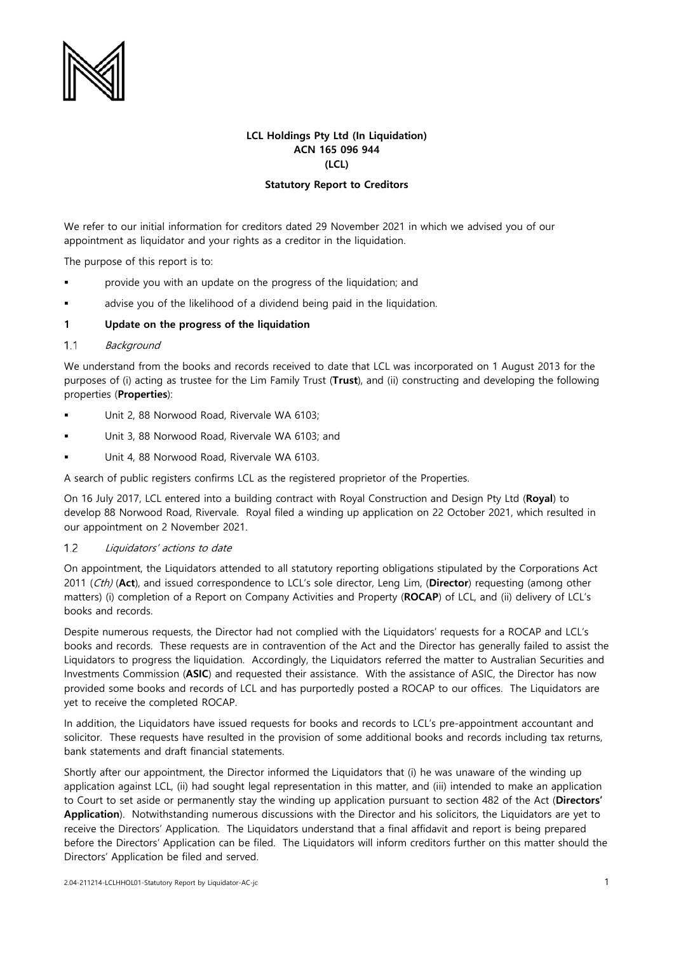

# **LCL Holdings Pty Ltd (In Liquidation) ACN 165 096 944 (LCL)**

## **Statutory Report to Creditors**

We refer to our initial information for creditors dated 29 November 2021 in which we advised you of our appointment as liquidator and your rights as a creditor in the liquidation.

The purpose of this report is to:

- provide you with an update on the progress of the liquidation; and
- advise you of the likelihood of a dividend being paid in the liquidation.

### **1 Update on the progress of the liquidation**

#### $1.1$ **Background**

We understand from the books and records received to date that LCL was incorporated on 1 August 2013 for the purposes of (i) acting as trustee for the Lim Family Trust (**Trust**), and (ii) constructing and developing the following properties (**Properties**):

- Unit 2, 88 Norwood Road, Rivervale WA 6103;
- Unit 3, 88 Norwood Road, Rivervale WA 6103; and
- Unit 4, 88 Norwood Road, Rivervale WA 6103.

A search of public registers confirms LCL as the registered proprietor of the Properties.

On 16 July 2017, LCL entered into a building contract with Royal Construction and Design Pty Ltd (**Royal**) to develop 88 Norwood Road, Rivervale. Royal filed a winding up application on 22 October 2021, which resulted in our appointment on 2 November 2021.

#### $1.2$ Liquidators' actions to date

On appointment, the Liquidators attended to all statutory reporting obligations stipulated by the Corporations Act 2011 (Cth) (**Act**), and issued correspondence to LCL's sole director, Leng Lim, (**Director**) requesting (among other matters) (i) completion of a Report on Company Activities and Property (**ROCAP**) of LCL, and (ii) delivery of LCL's books and records.

Despite numerous requests, the Director had not complied with the Liquidators' requests for a ROCAP and LCL's books and records. These requests are in contravention of the Act and the Director has generally failed to assist the Liquidators to progress the liquidation. Accordingly, the Liquidators referred the matter to Australian Securities and Investments Commission (**ASIC**) and requested their assistance. With the assistance of ASIC, the Director has now provided some books and records of LCL and has purportedly posted a ROCAP to our offices. The Liquidators are yet to receive the completed ROCAP.

In addition, the Liquidators have issued requests for books and records to LCL's pre-appointment accountant and solicitor. These requests have resulted in the provision of some additional books and records including tax returns, bank statements and draft financial statements.

Shortly after our appointment, the Director informed the Liquidators that (i) he was unaware of the winding up application against LCL, (ii) had sought legal representation in this matter, and (iii) intended to make an application to Court to set aside or permanently stay the winding up application pursuant to section 482 of the Act (**Directors' Application**). Notwithstanding numerous discussions with the Director and his solicitors, the Liquidators are yet to receive the Directors' Application. The Liquidators understand that a final affidavit and report is being prepared before the Directors' Application can be filed. The Liquidators will inform creditors further on this matter should the Directors' Application be filed and served.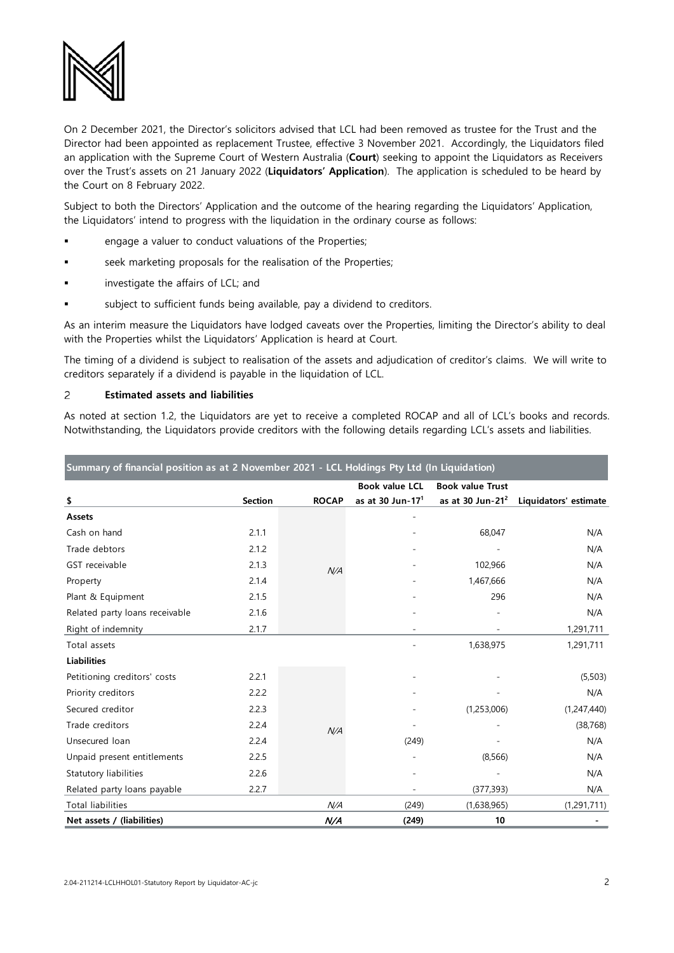

On 2 December 2021, the Director's solicitors advised that LCL had been removed as trustee for the Trust and the Director had been appointed as replacement Trustee, effective 3 November 2021. Accordingly, the Liquidators filed an application with the Supreme Court of Western Australia (**Court**) seeking to appoint the Liquidators as Receivers over the Trust's assets on 21 January 2022 (**Liquidators' Application**). The application is scheduled to be heard by the Court on 8 February 2022.

Subject to both the Directors' Application and the outcome of the hearing regarding the Liquidators' Application, the Liquidators' intend to progress with the liquidation in the ordinary course as follows:

- engage a valuer to conduct valuations of the Properties;
- seek marketing proposals for the realisation of the Properties;
- investigate the affairs of LCL; and
- subject to sufficient funds being available, pay a dividend to creditors.

As an interim measure the Liquidators have lodged caveats over the Properties, limiting the Director's ability to deal with the Properties whilst the Liquidators' Application is heard at Court.

The timing of a dividend is subject to realisation of the assets and adjudication of creditor's claims. We will write to creditors separately if a dividend is payable in the liquidation of LCL.

### $\overline{2}$ **Estimated assets and liabilities**

As noted at section 1.2, the Liquidators are yet to receive a completed ROCAP and all of LCL's books and records. Notwithstanding, the Liquidators provide creditors with the following details regarding LCL's assets and liabilities.

| Summary of financial position as at 2 November 2021 - LCL Holdings Pty Ltd (In Liquidation) |                |              |                       |                         |                       |
|---------------------------------------------------------------------------------------------|----------------|--------------|-----------------------|-------------------------|-----------------------|
|                                                                                             |                |              | <b>Book value LCL</b> | <b>Book value Trust</b> |                       |
| \$                                                                                          | <b>Section</b> | <b>ROCAP</b> | as at 30 Jun-17 $1$   | as at 30 Jun-21 $2$     | Liquidators' estimate |
| Assets                                                                                      |                |              |                       |                         |                       |
| Cash on hand                                                                                | 2.1.1          | N/A          |                       | 68,047                  | N/A                   |
| Trade debtors                                                                               | 2.1.2          |              |                       |                         | N/A                   |
| GST receivable                                                                              | 2.1.3          |              |                       | 102,966                 | N/A                   |
| Property                                                                                    | 2.1.4          |              |                       | 1,467,666               | N/A                   |
| Plant & Equipment                                                                           | 2.1.5          |              |                       | 296                     | N/A                   |
| Related party loans receivable                                                              | 2.1.6          |              |                       |                         | N/A                   |
| Right of indemnity                                                                          | 2.1.7          |              |                       |                         | 1,291,711             |
| Total assets                                                                                |                |              |                       | 1,638,975               | 1,291,711             |
| <b>Liabilities</b>                                                                          |                |              |                       |                         |                       |
| Petitioning creditors' costs                                                                | 2.2.1          | N/A          |                       |                         | (5,503)               |
| Priority creditors                                                                          | 2.2.2          |              |                       |                         | N/A                   |
| Secured creditor                                                                            | 2.2.3          |              |                       | (1,253,006)             | (1,247,440)           |
| Trade creditors                                                                             | 2.2.4          |              |                       |                         | (38, 768)             |
| Unsecured loan                                                                              | 2.2.4          |              | (249)                 |                         | N/A                   |
| Unpaid present entitlements                                                                 | 2.2.5          |              |                       | (8,566)                 | N/A                   |
| Statutory liabilities                                                                       | 2.2.6          |              |                       |                         | N/A                   |
| Related party loans payable                                                                 | 2.2.7          |              |                       | (377, 393)              | N/A                   |
| <b>Total liabilities</b>                                                                    |                | N/A          | (249)                 | (1,638,965)             | (1,291,711)           |
| Net assets / (liabilities)                                                                  |                | N/A          | (249)                 | 10                      |                       |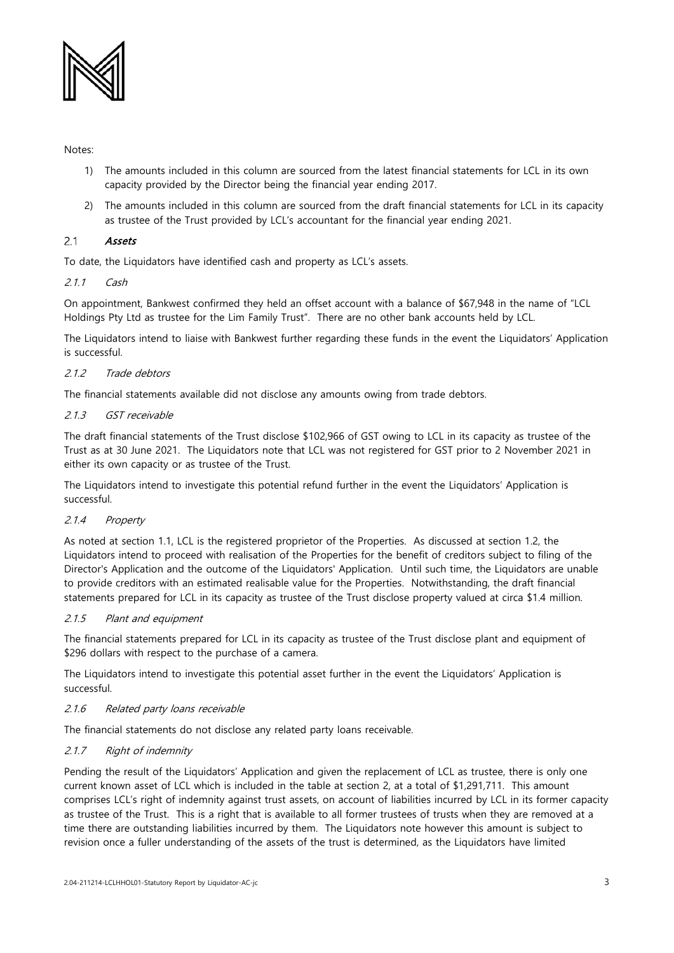

Notes:

- 1) The amounts included in this column are sourced from the latest financial statements for LCL in its own capacity provided by the Director being the financial year ending 2017.
- 2) The amounts included in this column are sourced from the draft financial statements for LCL in its capacity as trustee of the Trust provided by LCL's accountant for the financial year ending 2021.

### $2.1$ Assets

To date, the Liquidators have identified cash and property as LCL's assets.

## 2.1.1 Cash

On appointment, Bankwest confirmed they held an offset account with a balance of \$67,948 in the name of "LCL Holdings Pty Ltd as trustee for the Lim Family Trust". There are no other bank accounts held by LCL.

The Liquidators intend to liaise with Bankwest further regarding these funds in the event the Liquidators' Application is successful.

# 2.1.2 Trade debtors

The financial statements available did not disclose any amounts owing from trade debtors.

## 2.1.3 GST receivable

The draft financial statements of the Trust disclose \$102,966 of GST owing to LCL in its capacity as trustee of the Trust as at 30 June 2021. The Liquidators note that LCL was not registered for GST prior to 2 November 2021 in either its own capacity or as trustee of the Trust.

The Liquidators intend to investigate this potential refund further in the event the Liquidators' Application is successful.

## 2.1.4 Property

As noted at section 1.1, LCL is the registered proprietor of the Properties. As discussed at section 1.2, the Liquidators intend to proceed with realisation of the Properties for the benefit of creditors subject to filing of the Director's Application and the outcome of the Liquidators' Application. Until such time, the Liquidators are unable to provide creditors with an estimated realisable value for the Properties. Notwithstanding, the draft financial statements prepared for LCL in its capacity as trustee of the Trust disclose property valued at circa \$1.4 million.

## 2.1.5 Plant and equipment

The financial statements prepared for LCL in its capacity as trustee of the Trust disclose plant and equipment of \$296 dollars with respect to the purchase of a camera.

The Liquidators intend to investigate this potential asset further in the event the Liquidators' Application is successful.

## 2.1.6 Related party loans receivable

The financial statements do not disclose any related party loans receivable.

## 2.1.7 Right of indemnity

Pending the result of the Liquidators' Application and given the replacement of LCL as trustee, there is only one current known asset of LCL which is included in the table at section 2, at a total of \$1,291,711. This amount comprises LCL's right of indemnity against trust assets, on account of liabilities incurred by LCL in its former capacity as trustee of the Trust. This is a right that is available to all former trustees of trusts when they are removed at a time there are outstanding liabilities incurred by them. The Liquidators note however this amount is subject to revision once a fuller understanding of the assets of the trust is determined, as the Liquidators have limited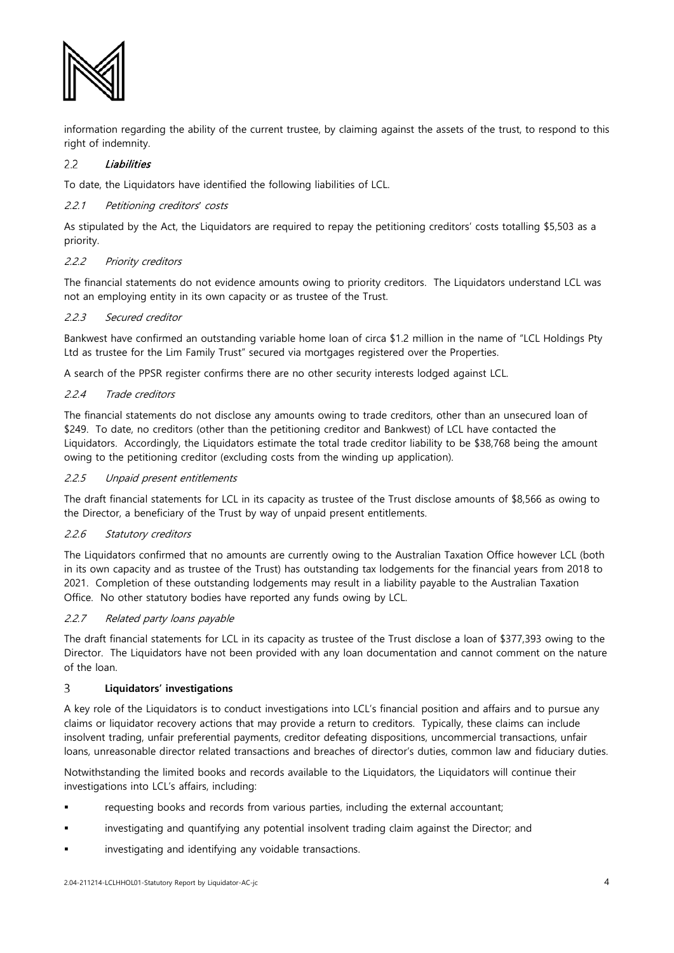

information regarding the ability of the current trustee, by claiming against the assets of the trust, to respond to this right of indemnity.

### $2.2$ Liabilities

To date, the Liquidators have identified the following liabilities of LCL.

## 2.2.1 Petitioning creditors*'* costs

As stipulated by the Act, the Liquidators are required to repay the petitioning creditors' costs totalling \$5,503 as a priority.

## 2.2.2 Priority creditors

The financial statements do not evidence amounts owing to priority creditors. The Liquidators understand LCL was not an employing entity in its own capacity or as trustee of the Trust.

# 2.2.3 Secured creditor

Bankwest have confirmed an outstanding variable home loan of circa \$1.2 million in the name of "LCL Holdings Pty Ltd as trustee for the Lim Family Trust" secured via mortgages registered over the Properties.

A search of the PPSR register confirms there are no other security interests lodged against LCL.

## 2.2.4 Trade creditors

The financial statements do not disclose any amounts owing to trade creditors, other than an unsecured loan of \$249. To date, no creditors (other than the petitioning creditor and Bankwest) of LCL have contacted the Liquidators. Accordingly, the Liquidators estimate the total trade creditor liability to be \$38,768 being the amount owing to the petitioning creditor (excluding costs from the winding up application).

# 2.2.5 Unpaid present entitlements

The draft financial statements for LCL in its capacity as trustee of the Trust disclose amounts of \$8,566 as owing to the Director, a beneficiary of the Trust by way of unpaid present entitlements.

## 2.2.6 Statutory creditors

The Liquidators confirmed that no amounts are currently owing to the Australian Taxation Office however LCL (both in its own capacity and as trustee of the Trust) has outstanding tax lodgements for the financial years from 2018 to 2021. Completion of these outstanding lodgements may result in a liability payable to the Australian Taxation Office. No other statutory bodies have reported any funds owing by LCL.

## 2.2.7 Related party loans payable

The draft financial statements for LCL in its capacity as trustee of the Trust disclose a loan of \$377,393 owing to the Director. The Liquidators have not been provided with any loan documentation and cannot comment on the nature of the loan.

### $\overline{3}$ **Liquidators' investigations**

A key role of the Liquidators is to conduct investigations into LCL's financial position and affairs and to pursue any claims or liquidator recovery actions that may provide a return to creditors. Typically, these claims can include insolvent trading, unfair preferential payments, creditor defeating dispositions, uncommercial transactions, unfair loans, unreasonable director related transactions and breaches of director's duties, common law and fiduciary duties.

Notwithstanding the limited books and records available to the Liquidators, the Liquidators will continue their investigations into LCL's affairs, including:

- requesting books and records from various parties, including the external accountant;
- investigating and quantifying any potential insolvent trading claim against the Director; and
- investigating and identifying any voidable transactions.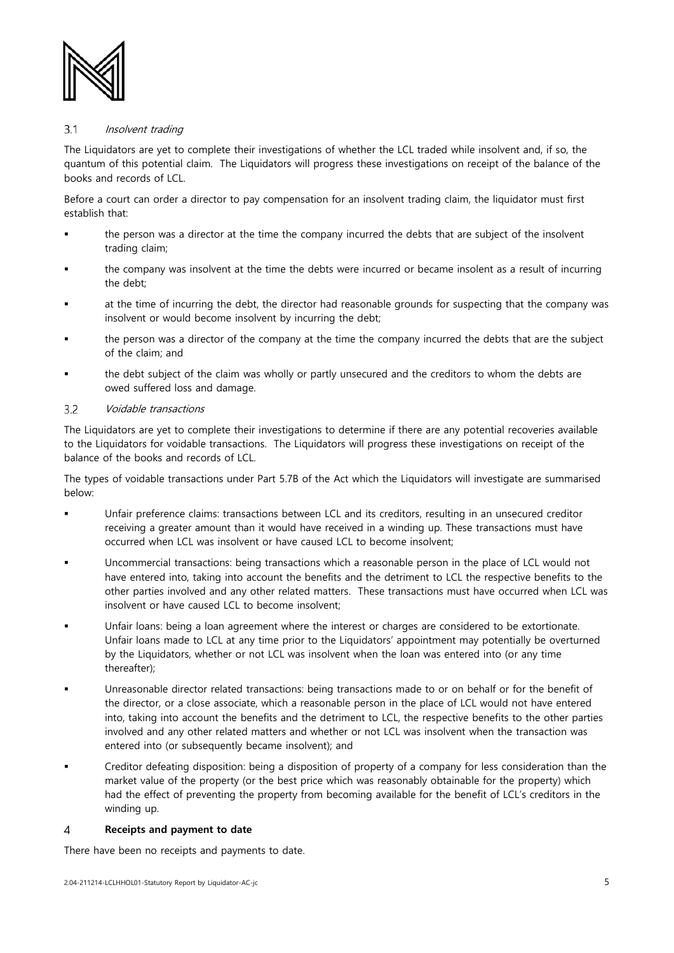

### $3.1$ Insolvent trading

The Liquidators are yet to complete their investigations of whether the LCL traded while insolvent and, if so, the quantum of this potential claim. The Liquidators will progress these investigations on receipt of the balance of the books and records of LCL.

Before a court can order a director to pay compensation for an insolvent trading claim, the liquidator must first establish that:

- the person was a director at the time the company incurred the debts that are subject of the insolvent trading claim;
- the company was insolvent at the time the debts were incurred or became insolent as a result of incurring the debt;
- at the time of incurring the debt, the director had reasonable grounds for suspecting that the company was insolvent or would become insolvent by incurring the debt;
- the person was a director of the company at the time the company incurred the debts that are the subject of the claim; and
- the debt subject of the claim was wholly or partly unsecured and the creditors to whom the debts are owed suffered loss and damage.

### $3.2$ Voidable transactions

The Liquidators are yet to complete their investigations to determine if there are any potential recoveries available to the Liquidators for voidable transactions. The Liquidators will progress these investigations on receipt of the balance of the books and records of LCL.

The types of voidable transactions under Part 5.7B of the Act which the Liquidators will investigate are summarised below:

- Unfair preference claims: transactions between LCL and its creditors, resulting in an unsecured creditor receiving a greater amount than it would have received in a winding up. These transactions must have occurred when LCL was insolvent or have caused LCL to become insolvent;
- Uncommercial transactions: being transactions which a reasonable person in the place of LCL would not have entered into, taking into account the benefits and the detriment to LCL the respective benefits to the other parties involved and any other related matters. These transactions must have occurred when LCL was insolvent or have caused LCL to become insolvent;
- Unfair loans: being a loan agreement where the interest or charges are considered to be extortionate. Unfair loans made to LCL at any time prior to the Liquidators' appointment may potentially be overturned by the Liquidators, whether or not LCL was insolvent when the loan was entered into (or any time thereafter);
- Unreasonable director related transactions: being transactions made to or on behalf or for the benefit of the director, or a close associate, which a reasonable person in the place of LCL would not have entered into, taking into account the benefits and the detriment to LCL, the respective benefits to the other parties involved and any other related matters and whether or not LCL was insolvent when the transaction was entered into (or subsequently became insolvent); and
- Creditor defeating disposition: being a disposition of property of a company for less consideration than the market value of the property (or the best price which was reasonably obtainable for the property) which had the effect of preventing the property from becoming available for the benefit of LCL's creditors in the winding up.

### $\overline{4}$ **Receipts and payment to date**

There have been no receipts and payments to date.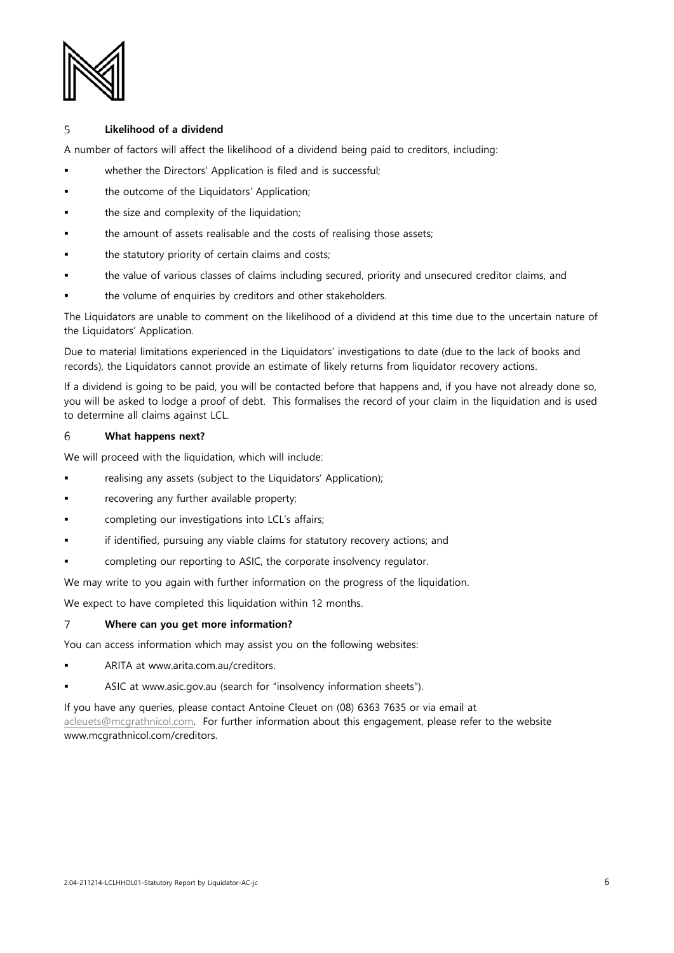

### 5 **Likelihood of a dividend**

A number of factors will affect the likelihood of a dividend being paid to creditors, including:

- whether the Directors' Application is filed and is successful;
- the outcome of the Liquidators' Application;
- the size and complexity of the liquidation;
- the amount of assets realisable and the costs of realising those assets;
- the statutory priority of certain claims and costs;
- the value of various classes of claims including secured, priority and unsecured creditor claims, and
- the volume of enquiries by creditors and other stakeholders.

The Liquidators are unable to comment on the likelihood of a dividend at this time due to the uncertain nature of the Liquidators' Application.

Due to material limitations experienced in the Liquidators' investigations to date (due to the lack of books and records), the Liquidators cannot provide an estimate of likely returns from liquidator recovery actions.

If a dividend is going to be paid, you will be contacted before that happens and, if you have not already done so, you will be asked to lodge a proof of debt. This formalises the record of your claim in the liquidation and is used to determine all claims against LCL.

### 6 **What happens next?**

We will proceed with the liquidation, which will include:

- **Falle** realising any assets (subject to the Liquidators' Application);
- recovering any further available property;
- completing our investigations into LCL's affairs;
- if identified, pursuing any viable claims for statutory recovery actions; and
- completing our reporting to ASIC, the corporate insolvency regulator.

We may write to you again with further information on the progress of the liquidation.

We expect to have completed this liquidation within 12 months.

### $\overline{7}$ **Where can you get more information?**

You can access information which may assist you on the following websites:

- ARITA at www.arita.com.au/creditors.
- ASIC at www.asic.gov.au (search for "insolvency information sheets").

If you have any queries, please contact Antoine Cleuet on (08) 6363 7635 or via email at [acleuets@mcgrathnicol.com.](mailto:acleuets@mcgrathnicol.com) For further information about this engagement, please refer to the website www.mcgrathnicol.com/creditors.